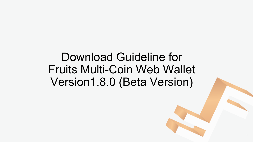### Download Guideline for Fruits Multi-Coin Web Wallet Version1.8.0 (Beta Version)

1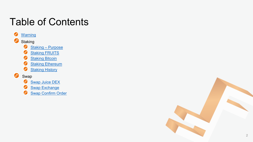### Table of Contents

#### $\bullet$ **[Warning](#page-2-0)**  $\bullet$ **Staking**  $\bullet$ Staking – [Purpose](#page-4-0) ⊕ **[Staking FRUITS](#page-5-0)**

- $\bullet$ **Staking Bitcoin**
- $\bullet$ **[Staking Ethereum](#page-9-0)**
- $\bullet$ **[Staking History](#page-11-0)**

#### ● Swap

- ⊕ [Swap Juice DEX](#page-12-0)
- ⊕ **[Swap Exchange](#page-13-0)**
- ➊ [Swap Confirm Order](#page-14-0)

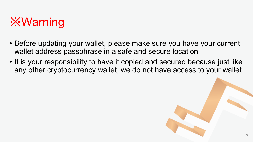<span id="page-2-0"></span>

- Before updating your wallet, please make sure you have your current wallet address passphrase in a safe and secure location
- It is your responsibility to have it copied and secured because just like any other cryptocurrency wallet, we do not have access to your wallet

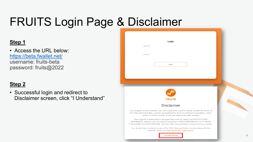### FRUITS Login Page & Disclaimer

#### **Step 1**

• Access the URL below: <https://beta.fwallet.net/> username: fruits-beta password: fruits@2022

### **Step 2**

• Successful login and redirect to Disclaimer screen, click "I Understand"

| Login<br>Username                                                                                                                                                                                                                                     |  |
|-------------------------------------------------------------------------------------------------------------------------------------------------------------------------------------------------------------------------------------------------------|--|
| Password                                                                                                                                                                                                                                              |  |
| Login                                                                                                                                                                                                                                                 |  |
|                                                                                                                                                                                                                                                       |  |
| <b>FRUITS</b>                                                                                                                                                                                                                                         |  |
| <b>Disclaimer</b>                                                                                                                                                                                                                                     |  |
| This program is free software: you can redistribute it and/or modify it under the terms of<br>the GNU General Public License as published by the Free Software Foundation, either<br>version 3 of the License, or (at your option) any later version. |  |
| This program is distributed in the hope that it will be useful, but WITHOUT ANY<br>WARRANTY; without even the implied warranty of MERCHANTABILITY or FITNESS<br>FOR A PARTICULAR PURPOSE. See the GNU General Public License for more details.        |  |
|                                                                                                                                                                                                                                                       |  |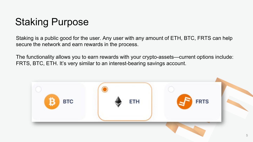### <span id="page-4-0"></span>Staking Purpose

Staking is a public good for the user. Any user with any amount of ETH, BTC, FRTS can help secure the network and earn rewards in the process.

The functionality allows you to earn rewards with your crypto-assets—current options include: FRTS, BTC, ETH. It's very similar to an interest-bearing savings account.

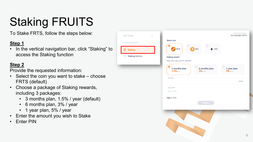# <span id="page-5-0"></span>Staking FRUITS

To Stake FRTS, follow the steps below:

#### **Step 1**

• In the vertical navigation bar, click "Staking" to access the Staking function

**NETWORK** 

**STAKING/S** 

<sup>S</sup> Stakin

**Stakin** 

#### **Step 2**

Provide the requested information:

- Select the coin you want to stake choose FRTS (default)
- Choose a package of Staking rewards, including 3 packages:
	- 3 months plan, 1.5% / year (default)
	- 6 months plan, 3% / year
	- 1 year plan, 5% / year
- Enter the amount you wish to Stake
- Enter PIN

| $\mathcal{P}$ | Select coin                                 |                              | <b>AVAILABLE BALANCE</b><br>285.49625963 FRTS |
|---------------|---------------------------------------------|------------------------------|-----------------------------------------------|
| <b>WAP</b>    | $\bullet$                                   |                              |                                               |
|               | FRTS                                        | $B$ вто<br>ETH               |                                               |
| g history     | <b>Staking reward</b>                       |                              |                                               |
|               | Please select a plan and push confirmation  |                              |                                               |
|               | $\bullet$<br>3 months plan<br>$1.5\%$ /year | 6 months plan<br>$3\%$ /year | 1 year plan<br>$5\%$ /year                    |
|               | Amount                                      |                              | <b>FRTS</b>                                   |
|               | Enter PIN*                                  |                              |                                               |
|               | Enter PIN                                   |                              |                                               |
|               | Total: 0 FRTS                               |                              |                                               |
|               |                                             | Confirm                      |                                               |
|               |                                             |                              |                                               |
|               |                                             |                              |                                               |
|               |                                             |                              |                                               |
|               |                                             |                              |                                               |
|               |                                             |                              |                                               |
|               |                                             |                              |                                               |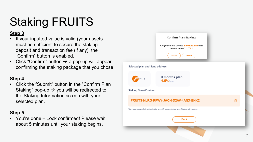# Staking FRUITS

#### **Step 3**

- If your inputted value is valid (your assets must be sufficient to secure the staking deposit and transaction fee (if any), the "Confirm" button is enabled.
- Click "Confirm" button  $\rightarrow$  a pop-up will appear confirming the staking package that you chose.

#### **Step 4**

• Click the "Submit" button in the "Confirm Plan Staking" pop-up  $\rightarrow$  you will be redirected to the Staking Information screen with your selected plan.

#### **Step 5**

• You're done – Lock confirmed! Please wait about 5 minutes until your staking begins.

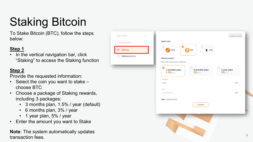# Staking Bitcoin

To Stake Bitcoin (BTC), follow the steps below:

**NETWORK** 

**STAKING/SW** 

<sup>S</sup> Stakind

**Staking** 

#### **Step 1**

In the vertical navigation bar, click "Staking" to access the Staking function

### **Step 2**

Provide the requested information:

- Select the coin you want to stake choose BTC
- Choose a package of Staking rewards, including 3 packages:
	- 3 months plan, 1.5% / year (default)
	- 6 months plan, 3% / year
	- 1 year plan, 5% / year
- Enter the amount you want to Stake

**Note**: The system automatically updates transaction fees.

| $\checkmark$<br>history | Select coin<br>$\bullet$<br>FRTS<br>₿<br><b>BTC</b><br><b>Staking reward</b><br>Please select a plan and push confirmation | ETH                        |
|-------------------------|----------------------------------------------------------------------------------------------------------------------------|----------------------------|
|                         | $\bullet$<br>3 months plan<br>6 months plan $3\%$ /year<br>$1.5\%$ /year                                                   | 1 year plan<br>$5\%$ /year |
|                         | Amount<br>0.03<br>Fee                                                                                                      | <b>BTC</b>                 |
|                         | 0.00000452<br>Total: 0.03000452 BTC<br>Confirm                                                                             | <b>BTC</b>                 |
|                         |                                                                                                                            |                            |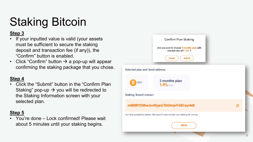# Staking Bitcoin

#### **Step 3**

- If your inputted value is valid (your assets must be sufficient to secure the staking deposit and transaction fee (if any)), the "Confirm" button is enabled.
- Click "Confirm" button  $\rightarrow$  a pop-up will appear confirming the staking package that you chose.

#### **Step 4**

• Click the "Submit" button in the "Confirm Plan Staking" pop-up  $\rightarrow$  you will be redirected to the Staking Information screen with your selected plan.

#### **Step 5**

• You're done – Lock confirmed! Please wait about 5 minutes until your staking begins.

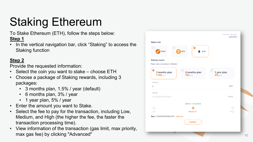# <span id="page-9-0"></span>Staking Ethereum

To Stake Ethereum (ETH), follow the steps below: **Step 1**

• In the vertical navigation bar, click "Staking" to access the Staking function

#### **Step 2**

Provide the requested information:

- Select the coin you want to stake choose ETH
- Choose a package of Staking rewards, including 3 packages:
	- 3 months plan, 1.5% / year (default)
	- 6 months plan, 3% / year
	- 1 year plan, 5% / year
- Enter the amount you want to Stake.
- Select the fee to pay for the transaction, including Low, Medium, and High (the higher the fee, the faster the transaction processing time).
- View information of the transaction (gas limit, max priority, max gas fee) by clicking "Advanced"

|                                              | $\bf \odot$                  |                            |
|----------------------------------------------|------------------------------|----------------------------|
| <b>FRTS</b>                                  | <b>BTC</b><br>ETH<br>в       |                            |
| <b>Staking reward</b>                        |                              |                            |
| Please select a plan and push confirmation   |                              |                            |
| $\circledcirc$<br>3 months plan<br>1.5%/year | 6 months plan<br>$3\%$ /year | 1 year plan<br>$5\%$ /year |
| Amount                                       |                              |                            |
| $\overline{2}$                               |                              | ETH                        |
| Max fee                                      |                              |                            |
| 0.000036750005628                            |                              | ETH.                       |
|                                              | Likely in < 30 seconds       |                            |
|                                              |                              |                            |
| Low                                          | Medium                       | High                       |
| Total: 2.000036750005628 ETH - advanced      |                              |                            |
|                                              | Confirm                      |                            |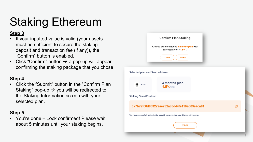### Staking Ethereum

#### **Step 3**

- If your inputted value is valid (your assets must be sufficient to secure the staking deposit and transaction fee (if any)), the "Confirm" button is enabled.
- Click "Confirm" button  $\rightarrow$  a pop-up will appear confirming the staking package that you chose.

#### **Step 4**

• Click the "Submit" button in the "Confirm Plan Staking" pop-up  $\rightarrow$  you will be redirected to the Staking Information screen with your selected plan.

#### **Step 5**

• You're done – Lock confirmed! Please wait about 5 minutes until your staking begins.

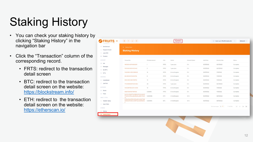# <span id="page-11-0"></span>Staking History

- You can check your staking history by clicking "Staking History" in the navigation bar
- Click the "Transaction" column of the corresponding record.
	- FRTS: redirect to the transaction detail screen
	- BTC: redirect to the transaction detail screen on the website: <https://blockstream.info/>
	- ETH: redirect to the transaction detail screen on the website: <https://etherscan.io/>

| G Staking History                                                         |                  |             |               |                   |            |                      |                    |
|---------------------------------------------------------------------------|------------------|-------------|---------------|-------------------|------------|----------------------|--------------------|
| Request Amount<br><b>Staking History</b>                                  |                  |             |               |                   |            |                      |                    |
|                                                                           |                  |             |               |                   |            |                      |                    |
|                                                                           |                  |             |               |                   |            |                      |                    |
| Transaction                                                               | Principal amount | Coin        | Period        | Interest (%/year) | Valid Date | Maturity Date        | Status             |
| 18039204207456362511                                                      | $\mathbb{R}$     | <b>FRTS</b> | 1 year plan   | 5 %               | 05/13/2022 | 05/13/2023           | Complete           |
| 16155182426534023462                                                      | $\overline{2}$   | <b>FRTS</b> | 1 year plan   | 5 %               | 05/13/2022 | 05/13/2023           | Complete           |
| 15460850429343999081                                                      | 15               | FRTS        | 6 months plan | 3 %               | 05/13/2022 | 11/13/2022           | Complete           |
| 8648300203162561765                                                       | $6 \cdot$        | <b>FRTS</b> | 6 months plan | 3 %               | 05/13/2022 | 11/13/2022           | Complete           |
| 5394092349601199760                                                       | 10               | <b>FRTS</b> | 6 months plan | 3 %               | 05/13/2022 | 11/13/2022           | Complete           |
| 17409989083702943564                                                      | 20               | <b>FRTS</b> | 1 year plan   | 5 %               | 05/13/2022 | 05/13/2023           | Complete           |
| 10463387182423440468                                                      | 10               | <b>FRTS</b> | 6 months plan | 3 %               | 05/13/2022 | 11/13/2022           | Complete           |
| 6685115967607997905                                                       | 0.00005          | <b>FRTS</b> | 6 months plan | 3 %               | 05/13/2022 | 11/13/2022           | Complete           |
| 0xe741c22d677d43f80c947a3c1a0a74<br>f7c5f2elef06cadba96d6cad65c7e5c9      | 0.000006         | ETH         | 3 months plan | 1.5%              | 05/13/2022 | 08/13/2022           | Complete           |
| ea<br>549bblfa5a7592c593ad542a3b977d8<br>0659a2197afb34e618f72ac6e8f6bfbb | 0.000054         | BTC.        | 3 months plan | 1.5%              | 05/13/2022 | 08/13/2022           | Complete           |
| $\overline{2}$                                                            |                  |             |               |                   |            |                      |                    |
|                                                                           |                  |             |               |                   |            | Items per page: 10 ▼ | 1-10 of 122<br>K < |
|                                                                           |                  |             |               |                   |            |                      |                    |
|                                                                           |                  |             |               |                   |            |                      |                    |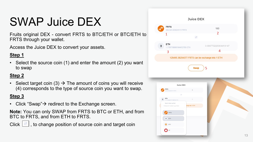### <span id="page-12-0"></span>SWAP Juice DEX

Fruits original DEX - convert FRTS to BTC/ETH or BTC/ETH to FRTS through your wallet .

Access the Juice DEX to convert your assets .

#### **Step 1**

• Select the source coin (1) and enter the amount (2) you want to swap

#### **Step 2**

• Select target coin (3)  $\rightarrow$  The amount of coins you will receive (4) corresponds to the type of source coin you want to swap.

#### **Step 3**

• Click "Swap" $\rightarrow$  redirect to the Exchange screen.

**Note:** You can only SWAP from FRTS to BTC or ETH, and from BTC to FRTS, and from ETH to FRTS.

Click  $\left[\begin{array}{c} \text{If } \\ \end{array}\right]$ , to change position of source coin and target coin

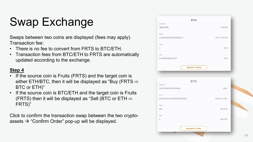### <span id="page-13-0"></span>Swap Exchange

Swaps between two coins are displayed (fees may apply). Transaction fee:

- There is no fee to convert from FRTS to BTC/ETH.
- Transaction fees from BTC/ETH to FRTS are automatically updated according to the exchange.

#### **Step 4**

- If the source coin is Fruits (FRTS) and the target coin is either ETH/BTC, then it will be displayed as "Buy (FRTS  $\Rightarrow$ BTC or ETH)"
- If the source coin is BTC/ETH and the target coin is Fruits (FRTS) then it will be displayed as "Sell (BTC or ETH  $\Rightarrow$ FRTS)"

Click to confirm the transaction swap between the two crypto assets  $\rightarrow$  "Confirm Order" pop-up will be displayed.

|                                  | <b>ETH</b>         |               |
|----------------------------------|--------------------|---------------|
| Quantity                         |                    |               |
| 106911.875                       |                    | <b>FRUITS</b> |
| Price                            |                    |               |
| 0.00000935349791592375           |                    | ETH / FRUITS  |
| Total                            |                    |               |
| $\overline{1}$                   |                    | <b>ETH</b>    |
| Fee                              |                    |               |
| 0.00035698340727                 |                    | <b>ETH</b>    |
|                                  | Sell (ETH -> FRTS) |               |
|                                  |                    |               |
|                                  | <b>ETH</b>         |               |
| Quantity<br>0.000781204107624944 |                    | ETH           |
| Price                            |                    |               |
| 128007.51944843837125853627      |                    | FRUITS / ETH  |
| Total                            |                    |               |
| 100                              |                    | <b>FRUITS</b> |
| Fee                              |                    |               |
| O                                |                    | <b>FRUITS</b> |
|                                  | Buy (FRTS -> ETH)  |               |